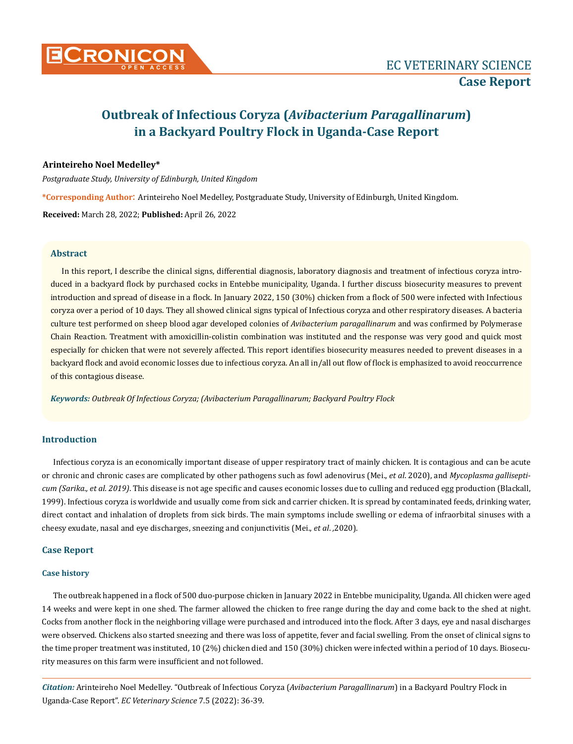

# **Outbreak of Infectious Coryza (***Avibacterium Paragallinarum***) in a Backyard Poultry Flock in Uganda-Case Report**

# **Arinteireho Noel Medelley\***

*Postgraduate Study, University of Edinburgh, United Kingdom*

**\*Corresponding Author**: Arinteireho Noel Medelley, Postgraduate Study, University of Edinburgh, United Kingdom.

**Received:** March 28, 2022; **Published:** April 26, 2022

#### **Abstract**

In this report, I describe the clinical signs, differential diagnosis, laboratory diagnosis and treatment of infectious coryza introduced in a backyard flock by purchased cocks in Entebbe municipality, Uganda. I further discuss biosecurity measures to prevent introduction and spread of disease in a flock. In January 2022, 150 (30%) chicken from a flock of 500 were infected with Infectious coryza over a period of 10 days. They all showed clinical signs typical of Infectious coryza and other respiratory diseases. A bacteria culture test performed on sheep blood agar developed colonies of *Avibacterium paragallinarum* and was confirmed by Polymerase Chain Reaction. Treatment with amoxicillin-colistin combination was instituted and the response was very good and quick most especially for chicken that were not severely affected. This report identifies biosecurity measures needed to prevent diseases in a backyard flock and avoid economic losses due to infectious coryza. An all in/all out flow of flock is emphasized to avoid reoccurrence of this contagious disease.

*Keywords: Outbreak Of Infectious Coryza; (Avibacterium Paragallinarum; Backyard Poultry Flock*

# **Introduction**

Infectious coryza is an economically important disease of upper respiratory tract of mainly chicken. It is contagious and can be acute or chronic and chronic cases are complicated by other pathogens such as fowl adenovirus (Mei., *et al*. 2020), and *Mycoplasma gallisepticum (Sarika., et al. 2019)*. This disease is not age specific and causes economic losses due to culling and reduced egg production (Blackall, 1999). Infectious coryza is worldwide and usually come from sick and carrier chicken. It is spread by contaminated feeds, drinking water, direct contact and inhalation of droplets from sick birds. The main symptoms include swelling or edema of infraorbital sinuses with a cheesy exudate, nasal and eye discharges, sneezing and conjunctivitis (Mei., *et al*. *,*2020).

### **Case Report**

#### **Case history**

The outbreak happened in a flock of 500 duo-purpose chicken in January 2022 in Entebbe municipality, Uganda. All chicken were aged 14 weeks and were kept in one shed. The farmer allowed the chicken to free range during the day and come back to the shed at night. Cocks from another flock in the neighboring village were purchased and introduced into the flock. After 3 days, eye and nasal discharges were observed. Chickens also started sneezing and there was loss of appetite, fever and facial swelling. From the onset of clinical signs to the time proper treatment was instituted, 10 (2%) chicken died and 150 (30%) chicken were infected within a period of 10 days. Biosecurity measures on this farm were insufficient and not followed.

*Citation:* Arinteireho Noel Medelley*.* "Outbreak of Infectious Coryza (*Avibacterium Paragallinarum*) in a Backyard Poultry Flock in Uganda-Case Report". *EC Veterinary Science* 7.5 (2022): 36-39.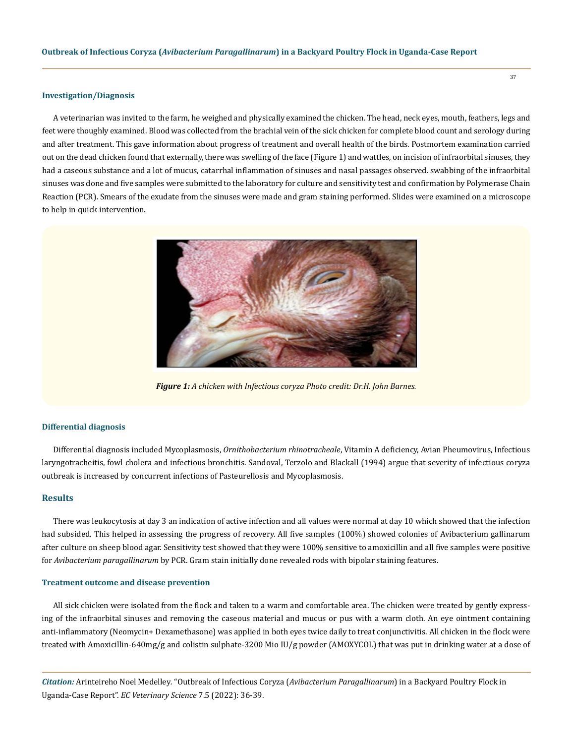#### **Investigation/Diagnosis**

A veterinarian was invited to the farm, he weighed and physically examined the chicken. The head, neck eyes, mouth, feathers, legs and feet were thoughly examined. Blood was collected from the brachial vein of the sick chicken for complete blood count and serology during and after treatment. This gave information about progress of treatment and overall health of the birds. Postmortem examination carried out on the dead chicken found that externally, there was swelling of the face (Figure 1) and wattles, on incision of infraorbital sinuses, they had a caseous substance and a lot of mucus, catarrhal inflammation of sinuses and nasal passages observed. swabbing of the infraorbital sinuses was done and five samples were submitted to the laboratory for culture and sensitivity test and confirmation by Polymerase Chain Reaction (PCR). Smears of the exudate from the sinuses were made and gram staining performed. Slides were examined on a microscope to help in quick intervention.



*Figure 1: A chicken with Infectious coryza Photo credit: Dr.H. John Barnes.*

#### **Differential diagnosis**

Differential diagnosis included Mycoplasmosis, *Ornithobacterium rhinotracheale*, Vitamin A deficiency, Avian Pheumovirus, Infectious laryngotracheitis, fowl cholera and infectious bronchitis. Sandoval, Terzolo and Blackall (1994) argue that severity of infectious coryza outbreak is increased by concurrent infections of Pasteurellosis and Mycoplasmosis.

#### **Results**

There was leukocytosis at day 3 an indication of active infection and all values were normal at day 10 which showed that the infection had subsided. This helped in assessing the progress of recovery. All five samples (100%) showed colonies of Avibacterium gallinarum after culture on sheep blood agar. Sensitivity test showed that they were 100% sensitive to amoxicillin and all five samples were positive for *Avibacterium paragallinarum* by PCR. Gram stain initially done revealed rods with bipolar staining features.

#### **Treatment outcome and disease prevention**

All sick chicken were isolated from the flock and taken to a warm and comfortable area. The chicken were treated by gently expressing of the infraorbital sinuses and removing the caseous material and mucus or pus with a warm cloth. An eye ointment containing anti-inflammatory (Neomycin+ Dexamethasone) was applied in both eyes twice daily to treat conjunctivitis. All chicken in the flock were treated with Amoxicillin-640mg/g and colistin sulphate-3200 Mio IU/g powder (AMOXYCOL) that was put in drinking water at a dose of

*Citation:* Arinteireho Noel Medelley*.* "Outbreak of Infectious Coryza (*Avibacterium Paragallinarum*) in a Backyard Poultry Flock in Uganda-Case Report". *EC Veterinary Science* 7.5 (2022): 36-39.

37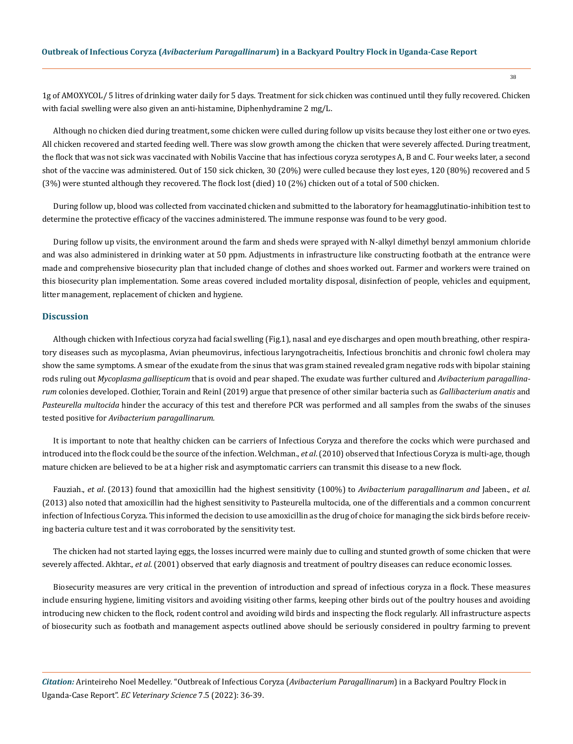1g of AMOXYCOL/ 5 litres of drinking water daily for 5 days. Treatment for sick chicken was continued until they fully recovered. Chicken with facial swelling were also given an anti-histamine, Diphenhydramine 2 mg/L.

Although no chicken died during treatment, some chicken were culled during follow up visits because they lost either one or two eyes. All chicken recovered and started feeding well. There was slow growth among the chicken that were severely affected. During treatment, the flock that was not sick was vaccinated with Nobilis Vaccine that has infectious coryza serotypes A, B and C. Four weeks later, a second shot of the vaccine was administered. Out of 150 sick chicken, 30 (20%) were culled because they lost eyes, 120 (80%) recovered and 5 (3%) were stunted although they recovered. The flock lost (died) 10 (2%) chicken out of a total of 500 chicken.

During follow up, blood was collected from vaccinated chicken and submitted to the laboratory for heamagglutinatio-inhibition test to determine the protective efficacy of the vaccines administered. The immune response was found to be very good.

During follow up visits, the environment around the farm and sheds were sprayed with N-alkyl dimethyl benzyl ammonium chloride and was also administered in drinking water at 50 ppm. Adjustments in infrastructure like constructing footbath at the entrance were made and comprehensive biosecurity plan that included change of clothes and shoes worked out. Farmer and workers were trained on this biosecurity plan implementation. Some areas covered included mortality disposal, disinfection of people, vehicles and equipment, litter management, replacement of chicken and hygiene.

#### **Discussion**

Although chicken with Infectious coryza had facial swelling (Fig.1), nasal and eye discharges and open mouth breathing, other respiratory diseases such as mycoplasma, Avian pheumovirus, infectious laryngotracheitis, Infectious bronchitis and chronic fowl cholera may show the same symptoms. A smear of the exudate from the sinus that was gram stained revealed gram negative rods with bipolar staining rods ruling out *Mycoplasma gallisepticum* that is ovoid and pear shaped. The exudate was further cultured and *Avibacterium paragallinarum* colonies developed. Clothier, Torain and Reinl (2019) argue that presence of other similar bacteria such as *Gallibacterium anatis* and *Pasteurella multocida* hinder the accuracy of this test and therefore PCR was performed and all samples from the swabs of the sinuses tested positive for *Avibacterium paragallinarum.*

It is important to note that healthy chicken can be carriers of Infectious Coryza and therefore the cocks which were purchased and introduced into the flock could be the source of the infection. Welchman., *et al*. (2010) observed that Infectious Coryza is multi-age, though mature chicken are believed to be at a higher risk and asymptomatic carriers can transmit this disease to a new flock.

Fauziah., *et al*. (2013) found that amoxicillin had the highest sensitivity (100%) to *Avibacterium paragallinarum and* Jabeen., *et al*. (2013) also noted that amoxicillin had the highest sensitivity to Pasteurella multocida, one of the differentials and a common concurrent infection of Infectious Coryza. This informed the decision to use amoxicillin as the drug of choice for managing the sick birds before receiving bacteria culture test and it was corroborated by the sensitivity test.

The chicken had not started laying eggs, the losses incurred were mainly due to culling and stunted growth of some chicken that were severely affected. Akhtar., *et al*. (2001) observed that early diagnosis and treatment of poultry diseases can reduce economic losses.

Biosecurity measures are very critical in the prevention of introduction and spread of infectious coryza in a flock. These measures include ensuring hygiene, limiting visitors and avoiding visiting other farms, keeping other birds out of the poultry houses and avoiding introducing new chicken to the flock, rodent control and avoiding wild birds and inspecting the flock regularly. All infrastructure aspects of biosecurity such as footbath and management aspects outlined above should be seriously considered in poultry farming to prevent

*Citation:* Arinteireho Noel Medelley*.* "Outbreak of Infectious Coryza (*Avibacterium Paragallinarum*) in a Backyard Poultry Flock in Uganda-Case Report". *EC Veterinary Science* 7.5 (2022): 36-39.

38